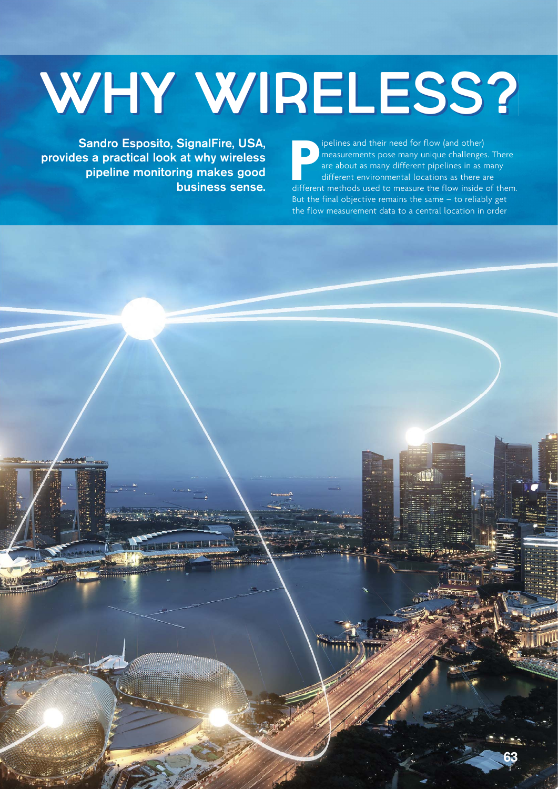# WHY WIRELESS?

Sandro Esposito, SignalFire, USA, provides a practical look at why wireless pipeline monitoring makes good business sense. **P**ipelines and their need for flow (and other)<br>
measurements pose many unique challenges. There<br>
are about as many different pipelines in as many<br>
different environmental locations as there are<br>
different methods used to ipelines and their need for flow (and other) measurements pose many unique challenges. There are about as many different pipelines in as many different environmental locations as there are But the final objective remains the same – to reliably get the flow measurement data to a central location in order

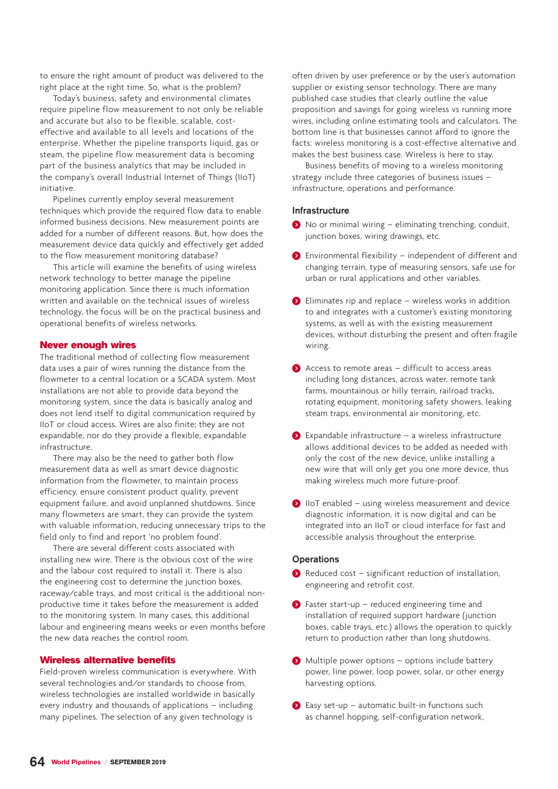to ensure the right amount of product was delivered to the right place at the right time. So, what is the problem?

Today's business, safety and environmental climates require pipeline flow measurement to not only be reliable and accurate but also to be flexible, scalable, costeffective and available to all levels and locations of the enterprise. Whether the pipeline transports liquid, gas or steam, the pipeline flow measurement data is becoming part of the business analytics that may be included in the company's overall Industrial Internet of Things (IIoT) initiative.

Pipelines currently employ several measurement techniques which provide the required flow data to enable informed business decisions. New measurement points are added for a number of different reasons. But, how does the measurement device data quickly and effectively get added to the flow measurement monitoring database?

This article will examine the benefits of using wireless network technology to better manage the pipeline monitoring application. Since there is much information written and available on the technical issues of wireless technology, the focus will be on the practical business and operational benefits of wireless networks.

#### Never enough wires

The traditional method of collecting flow measurement data uses a pair of wires running the distance from the flowmeter to a central location or a SCADA system. Most installations are not able to provide data beyond the monitoring system, since the data is basically analog and does not lend itself to digital communication required by IIoT or cloud access. Wires are also finite; they are not expandable, nor do they provide a flexible, expandable infrastructure.

There may also be the need to gather both flow measurement data as well as smart device diagnostic information from the flowmeter, to maintain process efficiency, ensure consistent product quality, prevent equipment failure, and avoid unplanned shutdowns. Since many flowmeters are smart, they can provide the system with valuable information, reducing unnecessary trips to the field only to find and report 'no problem found'.

There are several different costs associated with installing new wire. There is the obvious cost of the wire and the labour cost required to install it. There is also the engineering cost to determine the junction boxes, raceway/cable trays, and most critical is the additional nonproductive time it takes before the measurement is added to the monitoring system. In many cases, this additional labour and engineering means weeks or even months before the new data reaches the control room.

#### Wireless alternative benefits

Field-proven wireless communication is everywhere. With several technologies and/or standards to choose from, wireless technologies are installed worldwide in basically every industry and thousands of applications – including many pipelines. The selection of any given technology is

often driven by user preference or by the user's automation supplier or existing sensor technology. There are many published case studies that clearly outline the value proposition and savings for going wireless vs running more wires, including online estimating tools and calculators. The bottom line is that businesses cannot afford to ignore the facts: wireless monitoring is a cost-effective alternative and makes the best business case. Wireless is here to stay.

Business benefits of moving to a wireless monitoring strategy include three categories of business issues – infrastructure, operations and performance.

#### Infrastructure

- ) No or minimal wiring eliminating trenching, conduit, junction boxes, wiring drawings, etc.
- ) Environmental flexibility independent of different and changing terrain, type of measuring sensors, safe use for urban or rural applications and other variables.
- $\bullet$  Eliminates rip and replace wireless works in addition to and integrates with a customer's existing monitoring systems, as well as with the existing measurement devices, without disturbing the present and often fragile wiring.
- $\bullet$  Access to remote areas difficult to access areas including long distances, across water, remote tank farms, mountainous or hilly terrain, railroad tracks, rotating equipment, monitoring safety showers, leaking steam traps, environmental air monitoring, etc.
- $\bullet$  Expandable infrastructure a wireless infrastructure allows additional devices to be added as needed with only the cost of the new device, unlike installing a new wire that will only get you one more device, thus making wireless much more future-proof.
- ) IIoT enabled using wireless measurement and device diagnostic information, it is now digital and can be integrated into an IIoT or cloud interface for fast and accessible analysis throughout the enterprise.

#### **Operations**

- $\bullet$  Reduced cost significant reduction of installation, engineering and retrofit cost.
- $\bullet$  Faster start-up reduced engineering time and installation of required support hardware (junction boxes, cable trays, etc.) allows the operation to quickly return to production rather than long shutdowns.
- ) Multiple power options options include battery power, line power, loop power, solar, or other energy harvesting options.
- $\bullet$  Easy set-up automatic built-in functions such as channel hopping, self-configuration network,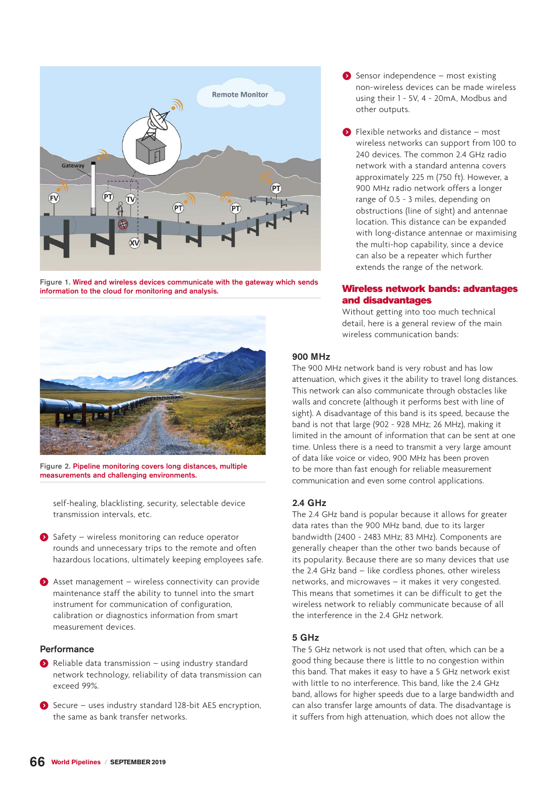

Figure 1. Wired and wireless devices communicate with the gateway which sends information to the cloud for monitoring and analysis.



Figure 2. Pipeline monitoring covers long distances, multiple measurements and challenging environments.

self-healing, blacklisting, security, selectable device transmission intervals, etc.

- ) Safety wireless monitoring can reduce operator rounds and unnecessary trips to the remote and often hazardous locations, ultimately keeping employees safe.
- $\bullet$  Asset management wireless connectivity can provide maintenance staff the ability to tunnel into the smart instrument for communication of configuration, calibration or diagnostics information from smart measurement devices.

#### Performance

- $\bullet$  Reliable data transmission using industry standard network technology, reliability of data transmission can exceed 99%.
- ) Secure uses industry standard 128-bit AES encryption, the same as bank transfer networks.
- ) Sensor independence most existing non-wireless devices can be made wireless using their 1 - 5V, 4 - 20mA, Modbus and other outputs.
- ) Flexible networks and distance most wireless networks can support from 100 to 240 devices. The common 2.4 GHz radio network with a standard antenna covers approximately 225 m (750 ft). However, a 900 MHz radio network offers a longer range of 0.5 - 3 miles, depending on obstructions (line of sight) and antennae location. This distance can be expanded with long-distance antennae or maximising the multi-hop capability, since a device can also be a repeater which further extends the range of the network.

#### Wireless network bands: advantages and disadvantages

Without getting into too much technical detail, here is a general review of the main wireless communication bands:

#### 900 MHz

The 900 MHz network band is very robust and has low attenuation, which gives it the ability to travel long distances. This network can also communicate through obstacles like walls and concrete (although it performs best with line of sight). A disadvantage of this band is its speed, because the band is not that large (902 - 928 MHz; 26 MHz), making it limited in the amount of information that can be sent at one time. Unless there is a need to transmit a very large amount of data like voice or video, 900 MHz has been proven to be more than fast enough for reliable measurement communication and even some control applications.

#### $2.4$  GHz

The 2.4 GHz band is popular because it allows for greater data rates than the 900 MHz band, due to its larger bandwidth (2400 - 2483 MHz; 83 MHz). Components are generally cheaper than the other two bands because of its popularity. Because there are so many devices that use the 2.4 GHz band – like cordless phones, other wireless networks, and microwaves – it makes it very congested. This means that sometimes it can be difficult to get the wireless network to reliably communicate because of all the interference in the 2.4 GHz network.

#### 5 GHz

The 5 GHz network is not used that often, which can be a good thing because there is little to no congestion within this band. That makes it easy to have a 5 GHz network exist with little to no interference. This band, like the 2.4 GHz band, allows for higher speeds due to a large bandwidth and can also transfer large amounts of data. The disadvantage is it suffers from high attenuation, which does not allow the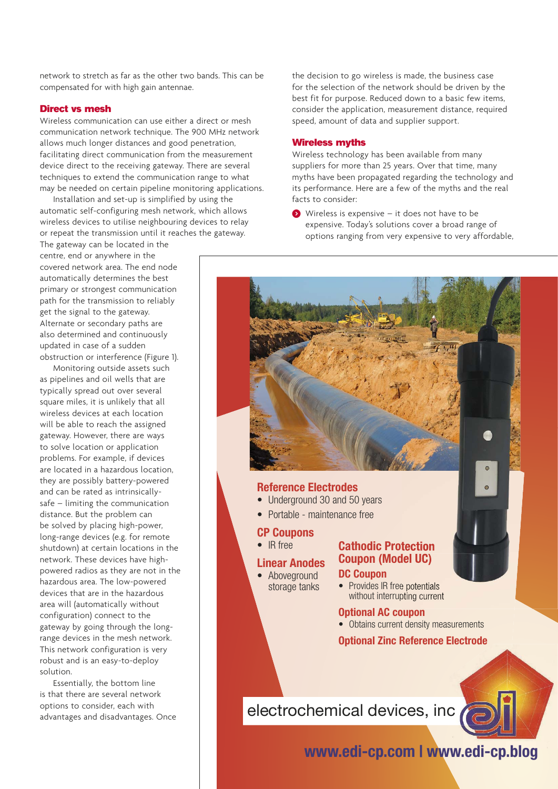network to stretch as far as the other two bands. This can be compensated for with high gain antennae.

#### Direct vs mesh

Wireless communication can use either a direct or mesh communication network technique. The 900 MHz network allows much longer distances and good penetration, facilitating direct communication from the measurement device direct to the receiving gateway. There are several techniques to extend the communication range to what may be needed on certain pipeline monitoring applications.

Installation and set-up is simplified by using the automatic self-configuring mesh network, which allows wireless devices to utilise neighbouring devices to relay or repeat the transmission until it reaches the gateway.

The gateway can be located in the centre, end or anywhere in the covered network area. The end node automatically determines the best primary or strongest communication path for the transmission to reliably get the signal to the gateway. Alternate or secondary paths are also determined and continuously updated in case of a sudden obstruction or interference (Figure 1).

Monitoring outside assets such as pipelines and oil wells that are typically spread out over several square miles, it is unlikely that all wireless devices at each location will be able to reach the assigned gateway. However, there are ways to solve location or application problems. For example, if devices are located in a hazardous location, they are possibly battery-powered and can be rated as intrinsicallysafe – limiting the communication distance. But the problem can be solved by placing high-power, long-range devices (e.g. for remote shutdown) at certain locations in the network. These devices have highpowered radios as they are not in the hazardous area. The low-powered devices that are in the hazardous area will (automatically without configuration) connect to the gateway by going through the longrange devices in the mesh network. This network configuration is very robust and is an easy-to-deploy solution.

Essentially, the bottom line is that there are several network options to consider, each with advantages and disadvantages. Once the decision to go wireless is made, the business case for the selection of the network should be driven by the best fit for purpose. Reduced down to a basic few items, consider the application, measurement distance, required speed, amount of data and supplier support.

#### Wireless myths

Wireless technology has been available from many suppliers for more than 25 years. Over that time, many myths have been propagated regarding the technology and its performance. Here are a few of the myths and the real facts to consider:

) Wireless is expensive – it does not have to be expensive. Today's solutions cover a broad range of options ranging from very expensive to very affordable,